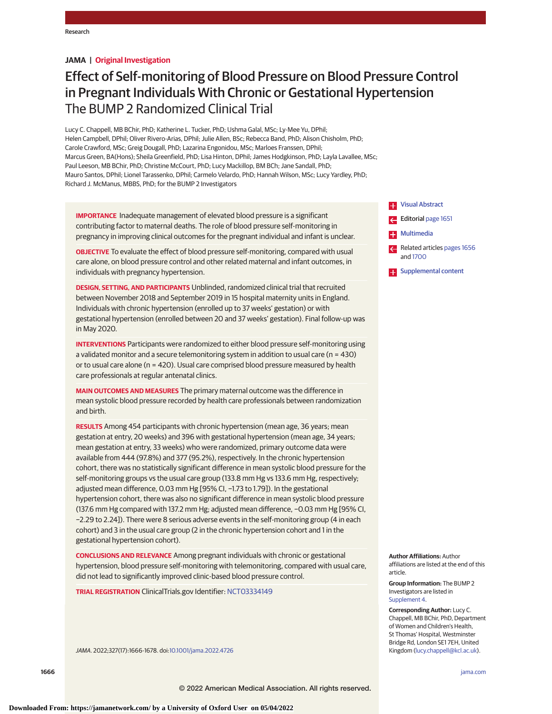## **JAMA | Original Investigation**

# Effect of Self-monitoring of Blood Pressure on Blood Pressure Control in Pregnant Individuals With Chronic or Gestational Hypertension The BUMP 2 Randomized Clinical Trial

Lucy C. Chappell, MB BChir, PhD; Katherine L. Tucker, PhD; Ushma Galal, MSc; Ly-Mee Yu, DPhil; Helen Campbell, DPhil; Oliver Rivero-Arias, DPhil; Julie Allen, BSc; Rebecca Band, PhD; Alison Chisholm, PhD; Carole Crawford, MSc; Greig Dougall, PhD; Lazarina Engonidou, MSc; Marloes Franssen, DPhil; Marcus Green, BA(Hons); Sheila Greenfield, PhD; Lisa Hinton, DPhil; James Hodgkinson, PhD; Layla Lavallee, MSc; Paul Leeson, MB BChir, PhD; Christine McCourt, PhD; Lucy Mackillop, BM BCh; Jane Sandall, PhD; Mauro Santos, DPhil; Lionel Tarassenko, DPhil; Carmelo Velardo, PhD; Hannah Wilson, MSc; Lucy Yardley, PhD; Richard J. McManus, MBBS, PhD; for the BUMP 2 Investigators

**IMPORTANCE** Inadequate management of elevated blood pressure is a significant contributing factor to maternal deaths. The role of blood pressure self-monitoring in pregnancy in improving clinical outcomes for the pregnant individual and infant is unclear.

**OBJECTIVE** To evaluate the effect of blood pressure self-monitoring, compared with usual care alone, on blood pressure control and other related maternal and infant outcomes, in individuals with pregnancy hypertension.

**DESIGN, SETTING, AND PARTICIPANTS** Unblinded, randomized clinical trial that recruited between November 2018 and September 2019 in 15 hospital maternity units in England. Individuals with chronic hypertension (enrolled up to 37 weeks' gestation) or with gestational hypertension (enrolled between 20 and 37 weeks' gestation). Final follow-up was in May 2020.

**INTERVENTIONS** Participants were randomized to either blood pressure self-monitoring using a validated monitor and a secure telemonitoring system in addition to usual care ( $n = 430$ ) or to usual care alone (n = 420). Usual care comprised blood pressure measured by health care professionals at regular antenatal clinics.

**MAIN OUTCOMES AND MEASURES** The primary maternal outcome was the difference in mean systolic blood pressure recorded by health care professionals between randomization and birth.

**RESULTS** Among 454 participants with chronic hypertension (mean age, 36 years; mean gestation at entry, 20 weeks) and 396 with gestational hypertension (mean age, 34 years; mean gestation at entry, 33 weeks) who were randomized, primary outcome data were available from 444 (97.8%) and 377 (95.2%), respectively. In the chronic hypertension cohort, there was no statistically significant difference in mean systolic blood pressure for the self-monitoring groups vs the usual care group (133.8 mm Hg vs 133.6 mm Hg, respectively; adjusted mean difference, 0.03 mm Hg [95% CI, −1.73 to 1.79]). In the gestational hypertension cohort, there was also no significant difference in mean systolic blood pressure (137.6 mm Hg compared with 137.2 mm Hg; adjusted mean difference, −0.03 mm Hg [95% CI, −2.29 to 2.24]). There were 8 serious adverse events in the self-monitoring group (4 in each cohort) and 3 in the usual care group (2 in the chronic hypertension cohort and 1 in the gestational hypertension cohort).

**CONCLUSIONS AND RELEVANCE** Among pregnant individuals with chronic or gestational hypertension, blood pressure self-monitoring with telemonitoring, compared with usual care, did not lead to significantly improved clinic-based blood pressure control.

**TRIAL REGISTRATION** ClinicalTrials.gov Identifier: [NCT03334149](https://clinicaltrials.gov/ct2/show/NCT03334149)

JAMA. 2022;327(17):1666-1678. doi[:10.1001/jama.2022.4726](https://jamanetwork.com/journals/jama/fullarticle/10.1001/jama.2022.4726?utm_campaign=articlePDF%26utm_medium=articlePDFlink%26utm_source=articlePDF%26utm_content=jama.2022.4726)



**Author Affiliations:** Author affiliations are listed at the end of this article.

**Group Information:** The BUMP 2 Investigators are listed in [Supplement 4.](https://jamanetwork.com/journals/jama/fullarticle/10.1001/jama.2022.4726?utm_campaign=articlePDF%26utm_medium=articlePDFlink%26utm_source=articlePDF%26utm_content=jama.2022.4726)

**Corresponding Author:** Lucy C. Chappell, MB BChir, PhD, Department of Women and Children's Health, St Thomas' Hospital, Westminster Bridge Rd, London SE1 7EH, United Kingdom [\(lucy.chappell@kcl.ac.uk\)](mailto:lucy.chappell@kcl.ac.uk).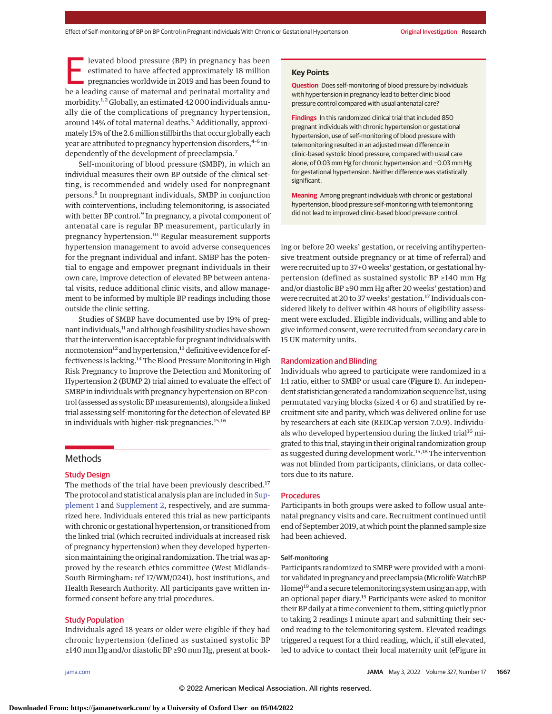levated blood pressure (BP) in pregnancy has been estimated to have affected approximately 18 million pregnancies worldwide in 2019 and has been found to be a leading cause of maternal and perinatal mortality and morbidity.<sup>1,2</sup> Globally, an estimated 42 000 individuals annually die of the complications of pregnancy hypertension, around 14% of total maternal deaths.<sup>3</sup> Additionally, approximately 15% of the 2.6million stillbirths that occur globally each year are attributed to pregnancy hypertension disorders, 4-6 independently of the development of preeclampsia.<sup>7</sup>

Self-monitoring of blood pressure (SMBP), in which an individual measures their own BP outside of the clinical setting, is recommended and widely used for nonpregnant persons.<sup>8</sup> In nonpregnant individuals, SMBP in conjunction with cointerventions, including telemonitoring, is associated with better BP control.<sup>9</sup> In pregnancy, a pivotal component of antenatal care is regular BP measurement, particularly in pregnancy hypertension.<sup>10</sup> Regular measurement supports hypertension management to avoid adverse consequences for the pregnant individual and infant. SMBP has the potential to engage and empower pregnant individuals in their own care, improve detection of elevated BP between antenatal visits, reduce additional clinic visits, and allow management to be informed by multiple BP readings including those outside the clinic setting.

Studies of SMBP have documented use by 19% of pregnant individuals, $^{11}$  and although feasibility studies have shown that the intervention is acceptable for pregnant individuals with normotension<sup>12</sup> and hypertension,<sup>13</sup> definitive evidence for effectiveness is lacking.<sup>14</sup> The Blood Pressure Monitoring in High Risk Pregnancy to Improve the Detection and Monitoring of Hypertension 2 (BUMP 2) trial aimed to evaluate the effect of SMBP in individuals with pregnancy hypertension on BP control (assessed as systolic BPmeasurements), alongside a linked trial assessing self-monitoring for the detection of elevated BP in individuals with higher-risk pregnancies.<sup>15,16</sup>

# **Methods**

## Study Design

The methods of the trial have been previously described.<sup>17</sup> The protocol and statistical analysis plan are included in [Sup](https://jamanetwork.com/journals/jama/fullarticle/10.1001/jama.2022.4726?utm_campaign=articlePDF%26utm_medium=articlePDFlink%26utm_source=articlePDF%26utm_content=jama.2022.4726)[plement 1](https://jamanetwork.com/journals/jama/fullarticle/10.1001/jama.2022.4726?utm_campaign=articlePDF%26utm_medium=articlePDFlink%26utm_source=articlePDF%26utm_content=jama.2022.4726) and [Supplement 2,](https://jamanetwork.com/journals/jama/fullarticle/10.1001/jama.2022.4726?utm_campaign=articlePDF%26utm_medium=articlePDFlink%26utm_source=articlePDF%26utm_content=jama.2022.4726) respectively, and are summarized here. Individuals entered this trial as new participants with chronic or gestational hypertension, or transitioned from the linked trial (which recruited individuals at increased risk of pregnancy hypertension) when they developed hypertension maintaining the original randomization. The trial was approved by the research ethics committee (West Midlands– South Birmingham: ref 17/WM/0241), host institutions, and Health Research Authority. All participants gave written informed consent before any trial procedures.

# Study Population

Individuals aged 18 years or older were eligible if they had chronic hypertension (defined as sustained systolic BP ≥140 mm Hg and/or diastolic BP ≥90 mm Hg, present at book-

# **Key Points**

**Question** Does self-monitoring of blood pressure by individuals with hypertension in pregnancy lead to better clinic blood pressure control compared with usual antenatal care?

**Findings** In this randomized clinical trial that included 850 pregnant individuals with chronic hypertension or gestational hypertension, use of self-monitoring of blood pressure with telemonitoring resulted in an adjusted mean difference in clinic-based systolic blood pressure, compared with usual care alone, of 0.03 mm Hg for chronic hypertension and −0.03 mm Hg for gestational hypertension. Neither difference was statistically significant.

**Meaning** Among pregnant individuals with chronic or gestational hypertension, blood pressure self-monitoring with telemonitoring did not lead to improved clinic-based blood pressure control.

ing or before 20 weeks' gestation, or receiving antihypertensive treatment outside pregnancy or at time of referral) and were recruited up to 37+0 weeks' gestation, or gestational hypertension (defined as sustained systolic BP ≥140 mm Hg and/or diastolic BP ≥90 mm Hg after 20 weeks' gestation) and were recruited at 20 to 37 weeks' gestation.17 Individuals considered likely to deliver within 48 hours of eligibility assessment were excluded. Eligible individuals, willing and able to give informed consent, were recruited from secondary care in 15 UK maternity units.

## Randomization and Blinding

Individuals who agreed to participate were randomized in a 1:1 ratio, either to SMBP or usual care (Figure 1). An independent statistician generated a randomization sequence list, using permutated varying blocks (sized 4 or 6) and stratified by recruitment site and parity, which was delivered online for use by researchers at each site (REDCap version 7.0.9). Individuals who developed hypertension during the linked trial<sup>16</sup> migrated to this trial, staying in their original randomization group as suggested during development work.<sup>15,18</sup> The intervention was not blinded from participants, clinicians, or data collectors due to its nature.

## Procedures

Participants in both groups were asked to follow usual antenatal pregnancy visits and care. Recruitment continued until end of September 2019, at which point the planned sample size had been achieved.

#### Self-monitoring

Participants randomized to SMBP were provided with a monitor validated in pregnancy and preeclampsia (Microlife WatchBP Home)<sup>19</sup> and a secure telemonitoring system using an app, with an optional paper diary.15 Participants were asked to monitor their BP daily at a time convenient to them, sitting quietly prior to taking 2 readings 1 minute apart and submitting their second reading to the telemonitoring system. Elevated readings triggered a request for a third reading, which, if still elevated, led to advice to contact their local maternity unit (eFigure in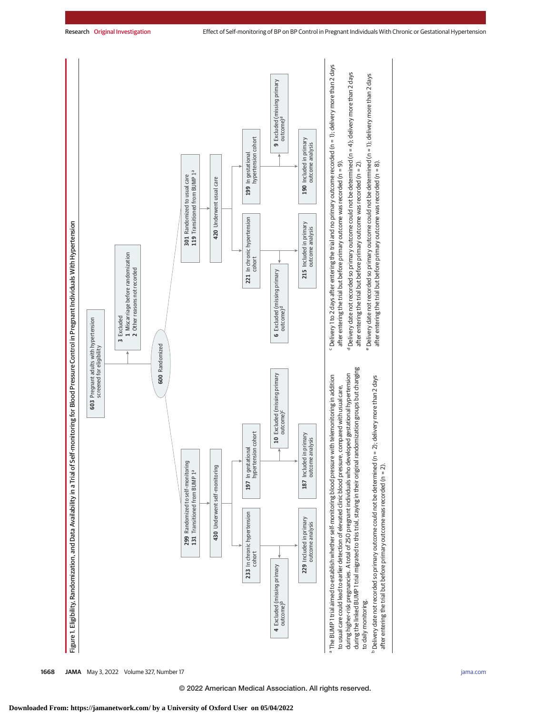

**1668 JAMA** May 3, 2022 Volume 327, Number 17 **(Reprinted)** [jama.com](http://www.jama.com?utm_campaign=articlePDF%26utm_medium=articlePDFlink%26utm_source=articlePDF%26utm_content=jama.2022.4726)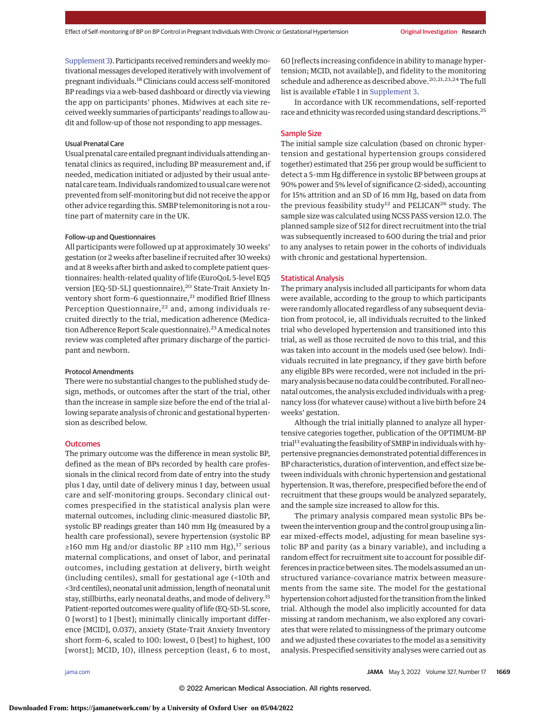[Supplement 3\)](https://jamanetwork.com/journals/jama/fullarticle/10.1001/jama.2022.4726?utm_campaign=articlePDF%26utm_medium=articlePDFlink%26utm_source=articlePDF%26utm_content=jama.2022.4726). Participants received reminders and weekly motivational messages developed iteratively with involvement of pregnant individuals.<sup>18</sup> Clinicians could access self-monitored BP readings via a web-based dashboard or directly via viewing the app on participants' phones. Midwives at each site received weekly summaries of participants' readings to allow audit and follow-up of those not responding to app messages.

## Usual Prenatal Care

Usual prenatal care entailed pregnant individuals attending antenatal clinics as required, including BP measurement and, if needed, medication initiated or adjusted by their usual antenatal care team. Individuals randomized to usual care were not prevented from self-monitoring but did not receive the app or other advice regarding this. SMBP telemonitoring is not a routine part of maternity care in the UK.

#### Follow-up and Questionnaires

All participants were followed up at approximately 30 weeks' gestation (or 2 weeks after baseline if recruited after 30 weeks) and at 8 weeks after birth and asked to complete patient questionnaires: health-related quality of life (EuroQoL 5-level EQ5 version [EQ-5D-5L] questionnaire),<sup>20</sup> State-Trait Anxiety Inventory short form-6 questionnaire,<sup>21</sup> modified Brief Illness Perception Questionnaire,<sup>22</sup> and, among individuals recruited directly to the trial, medication adherence (Medication Adherence Report Scale questionnaire).<sup>23</sup> A medical notes review was completed after primary discharge of the participant and newborn.

#### Protocol Amendments

There were no substantial changes to the published study design, methods, or outcomes after the start of the trial, other than the increase in sample size before the end of the trial allowing separate analysis of chronic and gestational hypertension as described below.

#### **Outcomes**

The primary outcome was the difference in mean systolic BP, defined as the mean of BPs recorded by health care professionals in the clinical record from date of entry into the study plus 1 day, until date of delivery minus 1 day, between usual care and self-monitoring groups. Secondary clinical outcomes prespecified in the statistical analysis plan were maternal outcomes, including clinic-measured diastolic BP, systolic BP readings greater than 140 mm Hg (measured by a health care professional), severe hypertension (systolic BP ≥160 mm Hg and/or diastolic BP ≥110 mm Hg),<sup>17</sup> serious maternal complications, and onset of labor, and perinatal outcomes, including gestation at delivery, birth weight (including centiles), small for gestational age (<10th and <3rd centiles), neonatal unit admission, length of neonatal unit stay, stillbirths, early neonatal deaths, and mode of delivery.15 Patient-reported outcomeswere quality of life (EQ-5D-5L score, 0 [worst] to 1 [best]; minimally clinically important difference [MCID], 0.037), anxiety (State-Trait Anxiety Inventory short form–6, scaled to 100: lowest, 0 [best] to highest, 100 [worst]; MCID, 10), illness perception (least, 6 to most,

60 [reflects increasing confidence in ability to manage hypertension; MCID, not available]), and fidelity to the monitoring schedule and adherence as described above.<sup>20,21,23,24</sup>The full list is available eTable 1 in [Supplement 3.](https://jamanetwork.com/journals/jama/fullarticle/10.1001/jama.2022.4726?utm_campaign=articlePDF%26utm_medium=articlePDFlink%26utm_source=articlePDF%26utm_content=jama.2022.4726)

In accordance with UK recommendations, self-reported race and ethnicity was recorded using standard descriptions.25

## Sample Size

The initial sample size calculation (based on chronic hypertension and gestational hypertension groups considered together) estimated that 256 per group would be sufficient to detect a 5–mm Hg difference in systolic BP between groups at 90% power and 5% level of significance (2-sided), accounting for 15% attrition and an SD of 16 mm Hg, based on data from the previous feasibility study<sup>12</sup> and PELICAN<sup>26</sup> study. The sample size was calculated using NCSS PASS version 12.0. The planned sample size of 512 for direct recruitment into the trial was subsequently increased to 600 during the trial and prior to any analyses to retain power in the cohorts of individuals with chronic and gestational hypertension.

## Statistical Analysis

The primary analysis included all participants for whom data were available, according to the group to which participants were randomly allocated regardless of any subsequent deviation from protocol, ie, all individuals recruited to the linked trial who developed hypertension and transitioned into this trial, as well as those recruited de novo to this trial, and this was taken into account in the models used (see below). Individuals recruited in late pregnancy, if they gave birth before any eligible BPs were recorded, were not included in the primary analysis because no data could be contributed. For all neonatal outcomes, the analysis excluded individuals with a pregnancy loss (for whatever cause) without a live birth before 24 weeks' gestation.

Although the trial initially planned to analyze all hypertensive categories together, publication of the OPTIMUM-BP trial<sup>13</sup> evaluating the feasibility of SMBP in individuals with hypertensive pregnancies demonstrated potential differences in BP characteristics, duration of intervention, and effect size between individuals with chronic hypertension and gestational hypertension. It was, therefore, prespecified before the end of recruitment that these groups would be analyzed separately, and the sample size increased to allow for this.

The primary analysis compared mean systolic BPs between the intervention group and the control group using a linear mixed-effects model, adjusting for mean baseline systolic BP and parity (as a binary variable), and including a random effect for recruitment site to account for possible differences in practice between sites. Themodels assumed an unstructured variance-covariance matrix between measurements from the same site. The model for the gestational hypertension cohort adjusted for the transition from the linked trial. Although the model also implicitly accounted for data missing at random mechanism, we also explored any covariates that were related to missingness of the primary outcome and we adjusted these covariates to the model as a sensitivity analysis. Prespecified sensitivity analyses were carried out as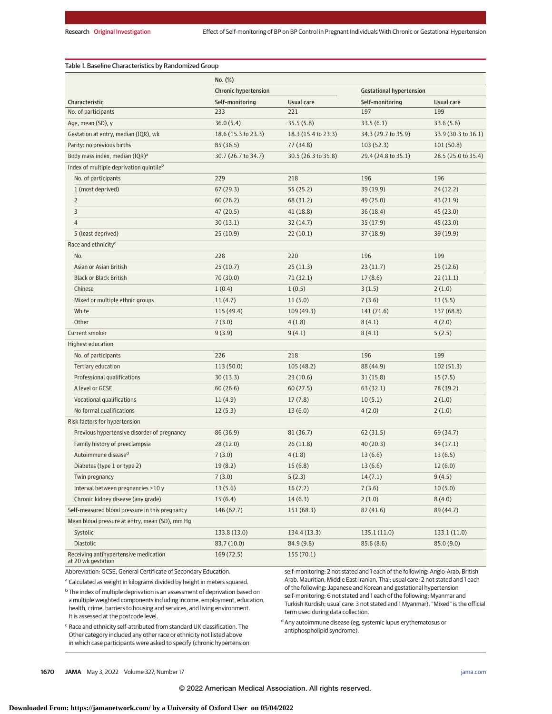|                                                             | No. (%)                     |                     |                                 |                     |
|-------------------------------------------------------------|-----------------------------|---------------------|---------------------------------|---------------------|
|                                                             | <b>Chronic hypertension</b> |                     | <b>Gestational hypertension</b> |                     |
| Characteristic                                              | Self-monitoring             | <b>Usual care</b>   | Self-monitoring                 | <b>Usual care</b>   |
| No. of participants                                         | 233                         | 221                 | 197                             | 199                 |
| Age, mean (SD), y                                           | 36.0(5.4)                   | 35.5(5.8)           | 33.5(6.1)                       | 33.6(5.6)           |
| Gestation at entry, median (IQR), wk                        | 18.6 (15.3 to 23.3)         | 18.3 (15.4 to 23.3) | 34.3 (29.7 to 35.9)             | 33.9 (30.3 to 36.1) |
| Parity: no previous births                                  | 85 (36.5)                   | 77 (34.8)           | 103(52.3)                       | 101(50.8)           |
| Body mass index, median (IQR) <sup>a</sup>                  | 30.7 (26.7 to 34.7)         | 30.5 (26.3 to 35.8) | 29.4 (24.8 to 35.1)             | 28.5 (25.0 to 35.4) |
| Index of multiple deprivation quintile <sup>b</sup>         |                             |                     |                                 |                     |
| No. of participants                                         | 229                         | 218                 | 196                             | 196                 |
| 1 (most deprived)                                           | 67(29.3)                    | 55(25.2)            | 39(19.9)                        | 24(12.2)            |
| $\overline{2}$                                              | 60(26.2)                    | 68 (31.2)           | 49 (25.0)                       | 43 (21.9)           |
| 3                                                           | 47 (20.5)                   | 41(18.8)            | 36(18.4)                        | 45 (23.0)           |
| $\overline{4}$                                              | 30(13.1)                    | 32(14.7)            | 35(17.9)                        | 45 (23.0)           |
| 5 (least deprived)                                          | 25(10.9)                    | 22(10.1)            | 37(18.9)                        | 39(19.9)            |
| Race and ethnicity <sup>c</sup>                             |                             |                     |                                 |                     |
| No.                                                         | 228                         | 220                 | 196                             | 199                 |
| Asian or Asian British                                      | 25(10.7)                    | 25(11.3)            | 23(11.7)                        | 25(12.6)            |
| <b>Black or Black British</b>                               | 70 (30.0)                   | 71(32.1)            | 17(8.6)                         | 22(11.1)            |
| Chinese                                                     | 1(0.4)                      | 1(0.5)              | 3(1.5)                          | 2(1.0)              |
| Mixed or multiple ethnic groups                             | 11(4.7)                     | 11(5.0)             | 7(3.6)                          | 11(5.5)             |
| White                                                       | 115 (49.4)                  | 109(49.3)           | 141 (71.6)                      | 137 (68.8)          |
| Other                                                       | 7(3.0)                      | 4(1.8)              | 8(4.1)                          | 4(2.0)              |
| Current smoker                                              | 9(3.9)                      | 9(4.1)              | 8(4.1)                          | 5(2.5)              |
| <b>Highest education</b>                                    |                             |                     |                                 |                     |
| No. of participants                                         | 226                         | 218                 | 196                             | 199                 |
| Tertiary education                                          | 113(50.0)                   | 105(48.2)           | 88 (44.9)                       | 102(51.3)           |
| Professional qualifications                                 | 30(13.3)                    | 23(10.6)            | 31(15.8)                        | 15(7.5)             |
| A level or GCSE                                             | 60(26.6)                    | 60(27.5)            | 63(32.1)                        | 78 (39.2)           |
| Vocational qualifications                                   | 11(4.9)                     | 17(7.8)             | 10(5.1)                         | 2(1.0)              |
| No formal qualifications                                    | 12(5.3)                     | 13(6.0)             | 4(2.0)                          | 2(1.0)              |
| Risk factors for hypertension                               |                             |                     |                                 |                     |
| Previous hypertensive disorder of pregnancy                 | 86 (36.9)                   | 81(36.7)            | 62(31.5)                        | 69 (34.7)           |
| Family history of preeclampsia                              | 28(12.0)                    | 26(11.8)            | 40(20.3)                        | 34(17.1)            |
| Autoimmune disease <sup>d</sup>                             | 7(3.0)                      | 4(1.8)              | 13(6.6)                         | 13(6.5)             |
| Diabetes (type 1 or type 2)                                 | 19 (8.2)                    | 15(6.8)             | 13(6.6)                         | 12(6.0)             |
| Twin pregnancy                                              | 7(3.0)                      | 5(2.3)              | 14(7.1)                         | 9(4.5)              |
| Interval between pregnancies >10 y                          | 13(5.6)                     | 16(7.2)             | 7(3.6)                          | 10(5.0)             |
| Chronic kidney disease (any grade)                          | 15(6.4)                     | 14(6.3)             | 2(1.0)                          | 8(4.0)              |
| Self-measured blood pressure in this pregnancy              | 146(62.7)                   | 151(68.3)           | 82(41.6)                        | 89 (44.7)           |
| Mean blood pressure at entry, mean (SD), mm Hg              |                             |                     |                                 |                     |
| Systolic                                                    | 133.8 (13.0)                | 134.4 (13.3)        | 135.1 (11.0)                    | 133.1 (11.0)        |
| Diastolic                                                   | 83.7 (10.0)                 | 84.9 (9.8)          | 85.6(8.6)                       | 85.0 (9.0)          |
| Receiving antihypertensive medication<br>at 20 wk gestation | 169(72.5)                   | 155(70.1)           |                                 |                     |

Abbreviation: GCSE, General Certificate of Secondary Education.

<sup>a</sup> Calculated as weight in kilograms divided by height in meters squared.

<sup>b</sup> The index of multiple deprivation is an assessment of deprivation based on a multiple weighted components including income, employment, education, health, crime, barriers to housing and services, and living environment. It is assessed at the postcode level.

self-monitoring: 2 not stated and 1 each of the following: Anglo-Arab, British Arab, Mauritian, Middle East Iranian, Thai; usual care: 2 not stated and 1 each of the following: Japanese and Korean and gestational hypertension self-monitoring: 6 not stated and 1 each of the following: Myanmar and Turkish Kurdish; usual care: 3 not stated and 1 Myanmar). "Mixed" is the official term used during data collection.

<sup>c</sup> Race and ethnicity self-attributed from standard UK classification. The Other category included any other race or ethnicity not listed above in which case participants were asked to specify (chronic hypertension  $^{\text{d}}$  Any autoimmune disease (eg, systemic lupus erythematosus or antiphospholipid syndrome).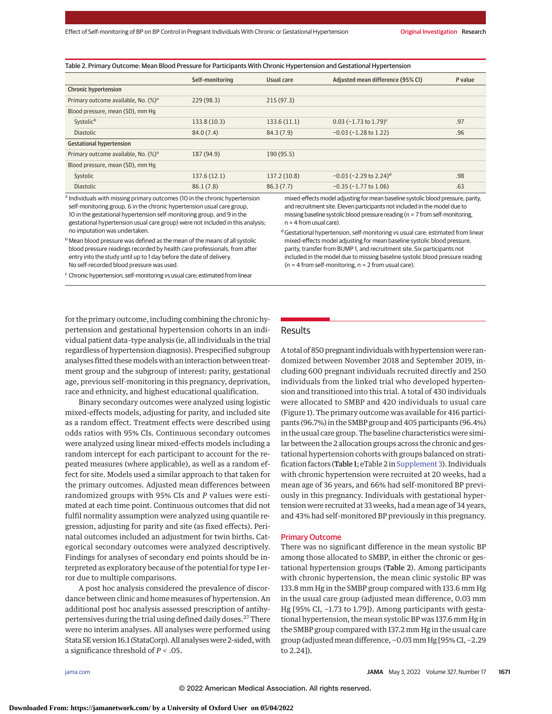| Table 2. Primary Outcome: Mean Blood Pressure for Participants With Chronic Hypertension and Gestational Hypertension |                 |              |                                      |         |
|-----------------------------------------------------------------------------------------------------------------------|-----------------|--------------|--------------------------------------|---------|
|                                                                                                                       | Self-monitoring | Usual care   | Adjusted mean difference (95% CI)    | P value |
| <b>Chronic hypertension</b>                                                                                           |                 |              |                                      |         |
| Primary outcome available, No. (%) <sup>a</sup>                                                                       | 229(98.3)       | 215(97.3)    |                                      |         |
| Blood pressure, mean (SD), mm Hq                                                                                      |                 |              |                                      |         |
| Systolic <sup>b</sup>                                                                                                 | 133.8 (10.3)    | 133.6(11.1)  | $0.03$ (-1.73 to 1.79) <sup>c</sup>  | .97     |
| <b>Diastolic</b>                                                                                                      | 84.0(7.4)       | 84.3 (7.9)   | $-0.03$ ( $-1.28$ to 1.22)           | .96     |
| <b>Gestational hypertension</b>                                                                                       |                 |              |                                      |         |
| Primary outcome available, No. (%) <sup>a</sup>                                                                       | 187 (94.9)      | 190 (95.5)   |                                      |         |
| Blood pressure, mean (SD), mm Hq                                                                                      |                 |              |                                      |         |
| Systolic                                                                                                              | 137.6(12.1)     | 137.2 (10.8) | $-0.03$ (-2.29 to 2.24) <sup>d</sup> | .98     |
| <b>Diastolic</b>                                                                                                      | 86.1(7.8)       | 86.3(7.7)    | $-0.35$ ( $-1.77$ to 1.06)           | .63     |

<sup>a</sup> Individuals with missing primary outcomes (10 in the chronic hypertension self-monitoring group, 6 in the chronic hypertension usual care group, 10 in the gestational hypertension self-monitoring group, and 9 in the gestational hypertension usual care group) were not included in this analysis; no imputation was undertaken.

and recruitment site. Eleven participants not included in the model due to missing baseline systolic blood pressure reading (n = 7 from self-monitoring,  $n = 4$  from usual care).  $d$  Gestational hypertension, self-monitoring vs usual care; estimated from linear mixed-effects model adjusting for mean baseline systolic blood pressure,

parity, transfer from BUMP 1, and recruitment site. Six participants not included in the model due to missing baseline systolic blood pressure reading

(n = 4 from self-monitoring, n = 2 from usual care).

mixed-effects model adjusting for mean baseline systolic blood pressure, parity,

**b** Mean blood pressure was defined as the mean of the means of all systolic blood pressure readings recorded by health care professionals, from after entry into the study until up to 1 day before the date of delivery. No self-recorded blood pressure was used.

<sup>c</sup> Chronic hypertension, self-monitoring vs usual care; estimated from linear

Results

pertension and gestational hypertension cohorts in an individual patient data–type analysis (ie, all individuals in the trial regardless of hypertension diagnosis). Prespecified subgroup analyses fitted these models with an interaction between treatment group and the subgroup of interest: parity, gestational age, previous self-monitoring in this pregnancy, deprivation, race and ethnicity, and highest educational qualification.

for the primary outcome, including combining the chronic hy-

Binary secondary outcomes were analyzed using logistic mixed-effects models, adjusting for parity, and included site as a random effect. Treatment effects were described using odds ratios with 95% CIs. Continuous secondary outcomes were analyzed using linear mixed-effects models including a random intercept for each participant to account for the repeated measures (where applicable), as well as a random effect for site. Models used a similar approach to that taken for the primary outcomes. Adjusted mean differences between randomized groups with 95% CIs and *P* values were estimated at each time point. Continuous outcomes that did not fulfil normality assumption were analyzed using quantile regression, adjusting for parity and site (as fixed effects). Perinatal outcomes included an adjustment for twin births. Categorical secondary outcomes were analyzed descriptively. Findings for analyses of secondary end points should be interpreted as exploratory because of the potential for type I error due to multiple comparisons.

A post hoc analysis considered the prevalence of discordance between clinic and home measures of hypertension. An additional post hoc analysis assessed prescription of antihypertensives during the trial using defined daily doses.<sup>27</sup> There were no interim analyses. All analyses were performed using Stata SE version 16.1 (StataCorp). All analyses were 2-sided, with a significance threshold of *P* < .05.

A total of 850 pregnant individuals with hypertension were randomized between November 2018 and September 2019, including 600 pregnant individuals recruited directly and 250 individuals from the linked trial who developed hypertension and transitioned into this trial. A total of 430 individuals were allocated to SMBP and 420 individuals to usual care (Figure 1). The primary outcome was available for 416 participants (96.7%) in the SMBP group and 405 participants (96.4%) in the usual care group. The baseline characteristics were similar between the 2 allocation groups across the chronic and gestational hypertension cohorts with groups balanced on strati-fication factors (Table 1; eTable 2 in [Supplement 3\)](https://jamanetwork.com/journals/jama/fullarticle/10.1001/jama.2022.4726?utm_campaign=articlePDF%26utm_medium=articlePDFlink%26utm_source=articlePDF%26utm_content=jama.2022.4726). Individuals with chronic hypertension were recruited at 20 weeks, had a mean age of 36 years, and 66% had self-monitored BP previously in this pregnancy. Individuals with gestational hypertension were recruited at 33 weeks, had amean age of 34 years, and 43% had self-monitored BP previously in this pregnancy.

#### Primary Outcome

There was no significant difference in the mean systolic BP among those allocated to SMBP, in either the chronic or gestational hypertension groups (Table 2). Among participants with chronic hypertension, the mean clinic systolic BP was 133.8 mm Hg in the SMBP group compared with 133.6 mm Hg in the usual care group (adjusted mean difference, 0.03 mm Hg [95% CI, −1.73 to 1.79]). Among participants with gestational hypertension, the mean systolic BP was 137.6 mm Hg in the SMBP group compared with 137.2 mm Hg in the usual care group (adjustedmean difference, −0.03mm Hg [95% CI, −2.29 to 2.24]).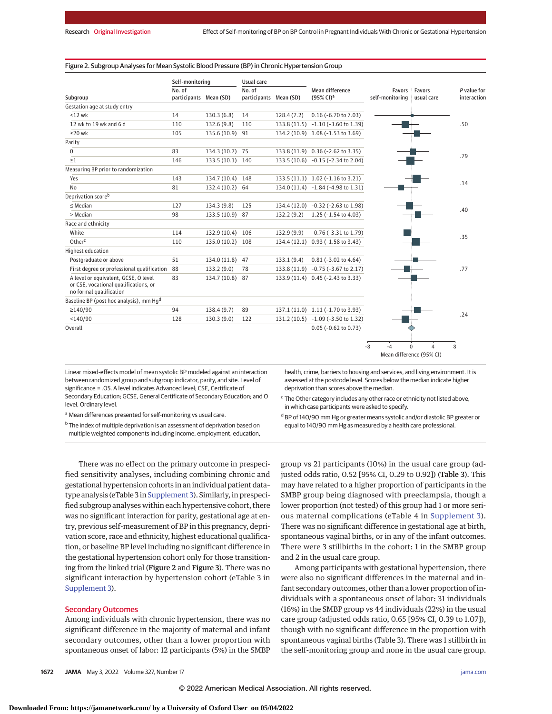## Figure 2. Subgroup Analyses for Mean Systolic Blood Pressure (BP) in Chronic Hypertension Group

|                                                                                                          | Self-monitoring                  |                  | Usual care                       |            |                                                 |                           |                                           |                            |
|----------------------------------------------------------------------------------------------------------|----------------------------------|------------------|----------------------------------|------------|-------------------------------------------------|---------------------------|-------------------------------------------|----------------------------|
| Subgroup                                                                                                 | No. of<br>participants Mean (SD) |                  | No. of<br>participants Mean (SD) |            | <b>Mean difference</b><br>(95% CI) <sup>a</sup> | Favors<br>self-monitoring | <b>Favors</b><br>usual care               | P value for<br>interaction |
| Gestation age at study entry                                                                             |                                  |                  |                                  |            |                                                 |                           |                                           |                            |
| $< 12$ wk                                                                                                | 14                               | 130.3(6.8)       | 14                               | 128.4(7.2) | $0.16$ (-6.70 to 7.03)                          |                           |                                           |                            |
| 12 wk to 19 wk and 6 d                                                                                   | 110                              | 132.6 (9.8)      | 110                              |            | 133.8 (11.5) -1.10 (-3.60 to 1.39)              |                           |                                           | .50                        |
| $\geq$ 20 wk                                                                                             | 105                              | 135.6 (10.9) 91  |                                  |            | 134.2 (10.9) 1.08 (-1.53 to 3.69)               |                           |                                           |                            |
| Parity                                                                                                   |                                  |                  |                                  |            |                                                 |                           |                                           |                            |
| 0                                                                                                        | 83                               | 134.3 (10.7) 75  |                                  |            | 133.8 (11.9) 0.36 (-2.62 to 3.35)               |                           |                                           |                            |
| $\geq 1$                                                                                                 | 146                              | 133.5 (10.1) 140 |                                  |            | 133.5 (10.6) -0.15 (-2.34 to 2.04)              |                           |                                           | .79                        |
| Measuring BP prior to randomization                                                                      |                                  |                  |                                  |            |                                                 |                           |                                           |                            |
| Yes                                                                                                      | 143                              | 134.7 (10.4) 148 |                                  |            | 133.5 (11.1) 1.02 (-1.16 to 3.21)               |                           |                                           |                            |
| <b>No</b>                                                                                                | 81                               | 132.4 (10.2) 64  |                                  |            | 134.0 (11.4) -1.84 (-4.98 to 1.31)              |                           |                                           | .14                        |
| Deprivation score <sup>b</sup>                                                                           |                                  |                  |                                  |            |                                                 |                           |                                           |                            |
| $\leq$ Median                                                                                            | 127                              | 134.3 (9.8)      | 125                              |            | 134.4 (12.0) -0.32 (-2.63 to 1.98)              |                           |                                           |                            |
| > Median                                                                                                 | 98                               | 133.5 (10.9) 87  |                                  | 132.2(9.2) | 1.25 (-1.54 to 4.03)                            |                           |                                           | .40                        |
| Race and ethnicity                                                                                       |                                  |                  |                                  |            |                                                 |                           |                                           |                            |
| White                                                                                                    | 114                              | 132.9 (10.4)     | 106                              | 132.9(9.9) | $-0.76$ ( $-3.31$ to 1.79)                      |                           |                                           | .35                        |
| Other <sup>c</sup>                                                                                       | 110                              | 135.0 (10.2) 108 |                                  |            | 134.4 (12.1) 0.93 (-1.58 to 3.43)               |                           |                                           |                            |
| Highest education                                                                                        |                                  |                  |                                  |            |                                                 |                           |                                           |                            |
| Postgraduate or above                                                                                    | 51                               | 134.0 (11.8)     | 47                               | 133.1(9.4) | $0.81$ ( $-3.02$ to 4.64)                       |                           |                                           |                            |
| First degree or professional qualification                                                               | 88                               | 133.2 (9.0)      | 78                               |            | 133.8 (11.9) -0.75 (-3.67 to 2.17)              |                           |                                           | .77                        |
| A level or equivalent, GCSE, O level<br>or CSE, vocational qualifications, or<br>no formal qualification | 83                               | 134.7 (10.8)     | 87                               |            | 133.9 (11.4) 0.45 (-2.43 to 3.33)               |                           |                                           |                            |
| Baseline BP (post hoc analysis), mm Hqd                                                                  |                                  |                  |                                  |            |                                                 |                           |                                           |                            |
| $\geq$ 140/90                                                                                            | 94                               | 138.4 (9.7)      | 89                               |            | 137.1 (11.0) 1.11 (-1.70 to 3.93)               |                           |                                           | .24                        |
| $<$ 140/90                                                                                               | 128                              | 130.3(9.0)       | 122                              |            | 131.2 (10.5) -1.09 (-3.50 to 1.32)              |                           |                                           |                            |
| Overall                                                                                                  |                                  |                  |                                  |            | $0.05$ (-0.62 to 0.73)                          |                           |                                           |                            |
|                                                                                                          |                                  |                  |                                  |            |                                                 | $-8$<br>$-4$              | $\Omega$<br>4<br>Mean difference (95% CI) | 8                          |

Linear mixed-effects model of mean systolic BP modeled against an interaction between randomized group and subgroup indicator, parity, and site. Level of significance = .05. A level indicates Advanced level; CSE, Certificate of Secondary Education; GCSE, General Certificate of Secondary Education; and O level, Ordinary level.

health, crime, barriers to housing and services, and living environment. It is assessed at the postcode level. Scores below the median indicate higher deprivation than scores above the median.

a Mean differences presented for self-monitoring vs usual care.

<sup>b</sup> The index of multiple deprivation is an assessment of deprivation based on multiple weighted components including income, employment, education,

There was no effect on the primary outcome in prespecified sensitivity analyses, including combining chronic and gestational hypertension cohorts in an individual patient data– type analysis (eTable 3 in [Supplement 3\)](https://jamanetwork.com/journals/jama/fullarticle/10.1001/jama.2022.4726?utm_campaign=articlePDF%26utm_medium=articlePDFlink%26utm_source=articlePDF%26utm_content=jama.2022.4726). Similarly, in prespecified subgroup analyses within each hypertensive cohort, there was no significant interaction for parity, gestational age at entry, previous self-measurement of BP in this pregnancy, deprivation score, race and ethnicity, highest educational qualification, or baseline BP level including no significant difference in the gestational hypertension cohort only for those transitioning from the linked trial (Figure 2 and Figure 3). There was no significant interaction by hypertension cohort (eTable 3 in [Supplement 3\)](https://jamanetwork.com/journals/jama/fullarticle/10.1001/jama.2022.4726?utm_campaign=articlePDF%26utm_medium=articlePDFlink%26utm_source=articlePDF%26utm_content=jama.2022.4726).

## Secondary Outcomes

Among individuals with chronic hypertension, there was no significant difference in the majority of maternal and infant secondary outcomes, other than a lower proportion with spontaneous onset of labor: 12 participants (5%) in the SMBP <sup>c</sup> The Other category includes any other race or ethnicity not listed above, in which case participants were asked to specify. <sup>d</sup> BP of 140/90 mm Hg or greater means systolic and/or diastolic BP greater or

equal to 140/90 mm Hg as measured by a health care professional.

group vs 21 participants (10%) in the usual care group (adjusted odds ratio, 0.52 [95% CI, 0.29 to 0.92]) (Table 3). This may have related to a higher proportion of participants in the SMBP group being diagnosed with preeclampsia, though a lower proportion (not tested) of this group had 1 or more serious maternal complications (eTable 4 in [Supplement 3\)](https://jamanetwork.com/journals/jama/fullarticle/10.1001/jama.2022.4726?utm_campaign=articlePDF%26utm_medium=articlePDFlink%26utm_source=articlePDF%26utm_content=jama.2022.4726). There was no significant difference in gestational age at birth, spontaneous vaginal births, or in any of the infant outcomes. There were 3 stillbirths in the cohort: 1 in the SMBP group and 2 in the usual care group.

Among participants with gestational hypertension, there were also no significant differences in the maternal and infant secondary outcomes, other than a lower proportion of individuals with a spontaneous onset of labor: 31 individuals (16%) in the SMBP group vs 44 individuals (22%) in the usual care group (adjusted odds ratio, 0.65 [95% CI, 0.39 to 1.07]), though with no significant difference in the proportion with spontaneous vaginal births (Table 3). There was 1 stillbirth in the self-monitoring group and none in the usual care group.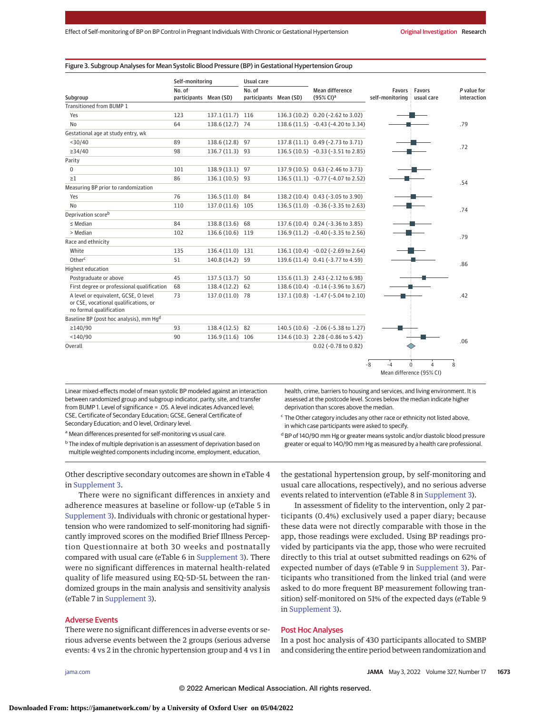#### Figure 3. Subgroup Analyses for Mean Systolic Blood Pressure (BP) in Gestational Hypertension Group

|                                                                                                          | Self-monitoring                  |                  | Usual care                       |                                             |                 |                                    |                            |
|----------------------------------------------------------------------------------------------------------|----------------------------------|------------------|----------------------------------|---------------------------------------------|-----------------|------------------------------------|----------------------------|
| Subgroup                                                                                                 | No. of<br>participants Mean (SD) |                  | No. of<br>participants Mean (SD) | Mean difference<br>$(95\%$ CI) <sup>a</sup> | self-monitoring | <b>Favors Favors</b><br>usual care | P value for<br>interaction |
| Transitioned from BUMP 1                                                                                 |                                  |                  |                                  |                                             |                 |                                    |                            |
| Yes                                                                                                      | 123                              | 137.1 (11.7) 116 |                                  | 136.3 (10.2) 0.20 (-2.62 to 3.02)           |                 |                                    |                            |
| <b>No</b>                                                                                                | 64                               | 138.6 (12.7) 74  |                                  | 138.6 (11.5) -0.43 (-4.20 to 3.34)          |                 |                                    | .79                        |
| Gestational age at study entry, wk                                                                       |                                  |                  |                                  |                                             |                 |                                    |                            |
| $<$ 30/40                                                                                                | 89                               | 138.6 (12.8) 97  |                                  | 137.8 (11.1) 0.49 (-2.73 to 3.71)           |                 |                                    |                            |
| $\geq$ 34/40                                                                                             | 98                               | 136.7 (11.3) 93  |                                  | 136.5 (10.5) -0.33 (-3.51 to 2.85)          |                 |                                    | .72                        |
| Parity                                                                                                   |                                  |                  |                                  |                                             |                 |                                    |                            |
| 0                                                                                                        | 101                              | 138.9 (13.1) 97  |                                  | 137.9 (10.5) 0.63 (-2.46 to 3.73)           |                 |                                    |                            |
| $\geq$ 1                                                                                                 | 86                               | 136.1 (10.5) 93  |                                  | 136.5 (11.1) -0.77 (-4.07 to 2.52)          |                 |                                    |                            |
| Measuring BP prior to randomization                                                                      |                                  |                  |                                  |                                             |                 |                                    | .54                        |
| Yes                                                                                                      | 76                               | 136.5 (11.0) 84  |                                  | 138.2 (10.4) 0.43 (-3.05 to 3.90)           |                 |                                    |                            |
| <b>No</b>                                                                                                | 110                              | 137.0 (11.6) 105 |                                  | 136.5 (11.0) -0.36 (-3.35 to 2.63)          |                 |                                    |                            |
| Deprivation score <sup>b</sup>                                                                           |                                  |                  |                                  |                                             |                 |                                    | .74                        |
| $\leq$ Median                                                                                            | 84                               | 138.8 (13.6) 68  |                                  | 137.6 (10.4) 0.24 (-3.36 to 3.85)           |                 |                                    |                            |
| > Median                                                                                                 | 102                              | 136.6 (10.6) 119 |                                  | 136.9 (11.2) -0.40 (-3.35 to 2.56)          |                 |                                    |                            |
| Race and ethnicity                                                                                       |                                  |                  |                                  |                                             |                 |                                    | .79                        |
| White                                                                                                    | 135                              | 136.4 (11.0) 131 |                                  | 136.1 (10.4) -0.02 (-2.69 to 2.64)          |                 |                                    |                            |
| Other <sup>c</sup>                                                                                       | 51                               | 140.8 (14.2) 59  |                                  | 139.6 (11.4) 0.41 (-3.77 to 4.59)           |                 |                                    |                            |
| Highest education                                                                                        |                                  |                  |                                  |                                             |                 |                                    | .86                        |
| Postgraduate or above                                                                                    | 45                               | 137.5 (13.7)     | 50                               | 135.6 (11.3) 2.43 (-2.12 to 6.98)           |                 |                                    |                            |
| First degree or professional qualification                                                               | 68                               | 138.4 (12.2) 62  |                                  | 138.6 (10.4) -0.14 (-3.96 to 3.67)          |                 |                                    |                            |
| A level or equivalent, GCSE, O level<br>or CSE, vocational qualifications, or<br>no formal qualification | 73                               | 137.0 (11.0) 78  |                                  | 137.1 (10.8) -1.47 (-5.04 to 2.10)          |                 |                                    | .42                        |
| Baseline BP (post hoc analysis), mm Hq <sup>d</sup>                                                      |                                  |                  |                                  |                                             |                 |                                    |                            |
| $\geq$ 140/90                                                                                            | 93                               | 138.4 (12.5) 82  |                                  | 140.5 (10.6) -2.06 (-5.38 to 1.27)          |                 |                                    |                            |
| $<$ 140/90                                                                                               | 90                               | 136.9 (11.6) 106 |                                  | 134.6 (10.3) 2.28 (-0.86 to 5.42)           |                 |                                    | .06                        |
| Overall                                                                                                  |                                  |                  |                                  | 0.02 (-0.78 to 0.82)                        |                 |                                    |                            |
|                                                                                                          |                                  |                  |                                  |                                             | -8<br>-4        | 0<br>4                             | 8                          |

Linear mixed-effects model of mean systolic BP modeled against an interaction between randomized group and subgroup indicator, parity, site, and transfer from BUMP 1. Level of significance = .05. A level indicates Advanced level; CSE, Certificate of Secondary Education; GCSE, General Certificate of Secondary Education; and O level, Ordinary level.

a Mean differences presented for self-monitoring vs usual care.

<sup>b</sup> The index of multiple deprivation is an assessment of deprivation based on multiple weighted components including income, employment, education,

Other descriptive secondary outcomes are shown in eTable 4 in [Supplement 3.](https://jamanetwork.com/journals/jama/fullarticle/10.1001/jama.2022.4726?utm_campaign=articlePDF%26utm_medium=articlePDFlink%26utm_source=articlePDF%26utm_content=jama.2022.4726)

There were no significant differences in anxiety and adherence measures at baseline or follow-up (eTable 5 in [Supplement 3\)](https://jamanetwork.com/journals/jama/fullarticle/10.1001/jama.2022.4726?utm_campaign=articlePDF%26utm_medium=articlePDFlink%26utm_source=articlePDF%26utm_content=jama.2022.4726). Individuals with chronic or gestational hypertension who were randomized to self-monitoring had significantly improved scores on the modified Brief Illness Perception Questionnaire at both 30 weeks and postnatally compared with usual care (eTable 6 in [Supplement 3\)](https://jamanetwork.com/journals/jama/fullarticle/10.1001/jama.2022.4726?utm_campaign=articlePDF%26utm_medium=articlePDFlink%26utm_source=articlePDF%26utm_content=jama.2022.4726). There were no significant differences in maternal health-related quality of life measured using EQ-5D-5L between the randomized groups in the main analysis and sensitivity analysis (eTable 7 in [Supplement 3\)](https://jamanetwork.com/journals/jama/fullarticle/10.1001/jama.2022.4726?utm_campaign=articlePDF%26utm_medium=articlePDFlink%26utm_source=articlePDF%26utm_content=jama.2022.4726).

# Adverse Events

There were no significant differences in adverse events or serious adverse events between the 2 groups (serious adverse events: 4 vs 2 in the chronic hypertension group and 4 vs 1 in health, crime, barriers to housing and services, and living environment. It is assessed at the postcode level. Scores below the median indicate higher deprivation than scores above the median.

Mean difference (95% CI)

 $\epsilon$  The Other category includes any other race or ethnicity not listed above, in which case participants were asked to specify.

<sup>d</sup> BP of 140/90 mm Hg or greater means systolic and/or diastolic blood pressure greater or equal to 140/90 mm Hg as measured by a health care professional.

the gestational hypertension group, by self-monitoring and usual care allocations, respectively), and no serious adverse events related to intervention (eTable 8 in [Supplement 3\)](https://jamanetwork.com/journals/jama/fullarticle/10.1001/jama.2022.4726?utm_campaign=articlePDF%26utm_medium=articlePDFlink%26utm_source=articlePDF%26utm_content=jama.2022.4726).

In assessment of fidelity to the intervention, only 2 participants (0.4%) exclusively used a paper diary; because these data were not directly comparable with those in the app, those readings were excluded. Using BP readings provided by participants via the app, those who were recruited directly to this trial at outset submitted readings on 62% of expected number of days (eTable 9 in [Supplement 3\)](https://jamanetwork.com/journals/jama/fullarticle/10.1001/jama.2022.4726?utm_campaign=articlePDF%26utm_medium=articlePDFlink%26utm_source=articlePDF%26utm_content=jama.2022.4726). Participants who transitioned from the linked trial (and were asked to do more frequent BP measurement following transition) self-monitored on 51% of the expected days (eTable 9 in [Supplement 3\)](https://jamanetwork.com/journals/jama/fullarticle/10.1001/jama.2022.4726?utm_campaign=articlePDF%26utm_medium=articlePDFlink%26utm_source=articlePDF%26utm_content=jama.2022.4726).

# Post Hoc Analyses

In a post hoc analysis of 430 participants allocated to SMBP and considering the entire period between randomization and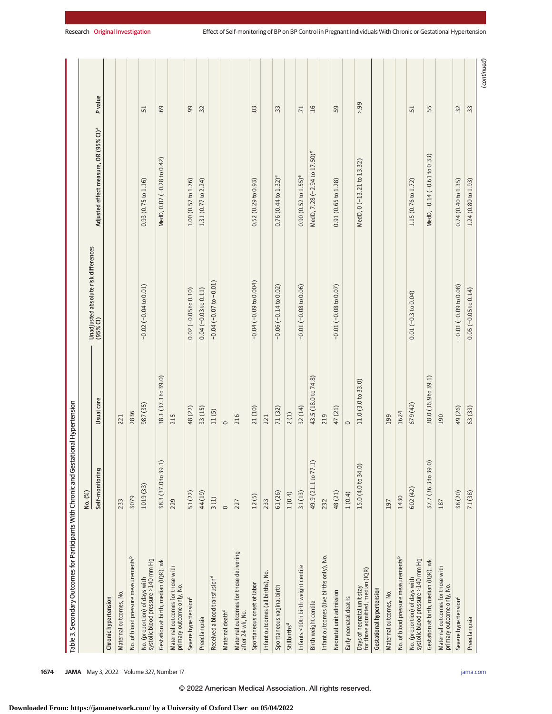|                                                                     | $(\%)$<br>Νo.       |                     |                                                  |                                                   |                |
|---------------------------------------------------------------------|---------------------|---------------------|--------------------------------------------------|---------------------------------------------------|----------------|
|                                                                     | Self-monitoring     | Usual care          | Unadjusted absolute risk differences<br>(95% CI) | Adjusted effect measure, OR (95% CI) <sup>a</sup> | P value        |
| Chronic hypertension                                                |                     |                     |                                                  |                                                   |                |
| Maternal outcomes, No.                                              | 233                 | 221                 |                                                  |                                                   |                |
| No. of blood pressure measurements <sup>b</sup>                     | 3079                | 2836                |                                                  |                                                   |                |
| No. (proportion) of days with<br>systolic blood pressure >140 mm Hg | 1019 (33)           | 987 (35)            | $-0.02(-0.04 to 0.01)$                           | 0.93(0.75 to 1.16)                                | 51             |
| Gestation at birth, median (IQR), wk                                | 38.3 (37.0 to 39.1  | 38.1 (37.1 to 39.0) |                                                  | MedD, 0.07 (-0.28 to 0.42)                        | 69             |
| Maternal outcomes for those with<br>primary outcome only, No.       | 229                 | 215                 |                                                  |                                                   |                |
| Severe hypertension <sup>c</sup>                                    | 51 (22)             | 48 (22)             | $0.02$ (-0.05 to 0.10)                           | 1.00 (0.57 to 1.76)                               | 99             |
| Preeclampsia                                                        | 44 (19)             | 33 (15)             | $0.04 (-0.03 to 0.11)$                           | 1.31 (0.77 to 2.24)                               | $\ddot{3}$     |
| Received a blood transfusion <sup>d</sup>                           | 3(1)                | 11(5)               | $-0.04(-0.07$ to $-0.01$ )                       |                                                   |                |
| Maternal death <sup>d</sup>                                         | $\circ$             | $\circ$             |                                                  |                                                   |                |
| Maternal outcomes for those delivering<br>after 24 wk, No.          | 227                 | 216                 |                                                  |                                                   |                |
| Spontaneous onset of labor                                          | 12(5)               | 21 (10)             | $-0.04(-0.09 to 0.004)$                          | 0.52(0.29 to 0.93)                                | 0 <sup>3</sup> |
| Infant outcomes (all births), No.                                   | 233                 | 221                 |                                                  |                                                   |                |
| Spontaneous vaginal birth                                           | 61 (26)             | 71 (32)             | $-0.06(-0.14$ to $0.02)$                         | $0.76(0.44$ to $1.32)$ <sup>e</sup>               | $\ddot{3}$     |
| Stillbirths <sup>d</sup>                                            | 1(0.4)              | 2(1)                |                                                  |                                                   |                |
| Infants <10th birth weight centile                                  | 31 (13)             | 32 (14)             | $-0.01(-0.08 to 0.06)$                           | $0.90(0.52 to 1.55)$ <sup>e</sup>                 | .71            |
| Birth weight centile                                                | 49.9 (21.1 to 77.1  | 43.5 (18.0 to 74.8) |                                                  | MedD, 7.28 (-2.94 to 17.50) <sup>e</sup>          | .16            |
| Infant outcomes (live births only), No.                             | 232                 | 219                 |                                                  |                                                   |                |
| Neonatal unit admission                                             | 48(21)              | 47 (21)             | $-0.01(-0.08$ to $0.07)$                         | 0.91(0.65 to 1.28)                                | .59            |
| Early neonatal deaths                                               | 1(0.4)              | $\circ$             |                                                  |                                                   |                |
| Days of neonatal unit stay<br>for those admitted, median (IQR)      | 15.0 (4.0 to 34.0)  | 11.0 (3.0 to 33.0)  |                                                  | MedD, 0 (-13.21 to 13.32)                         | $-99$          |
| Gestational hypertension                                            |                     |                     |                                                  |                                                   |                |
| Maternal outcomes, No.                                              | 197                 | 199                 |                                                  |                                                   |                |
| No. of blood pressure measurements <sup>b</sup>                     | 1430                | 1624                |                                                  |                                                   |                |
| systolic blood pressure >140 mm Hg<br>No. (proportion) of days with | 602 (42)            | 679 (42)            | $0.01 (-0.3 to 0.04)$                            | 1.15 (0.76 to 1.72)                               | 51             |
| Gestation at birth, median (IQR), wk                                | 37.7 (36.3 to 39.0) | 38.0 (36.9 to 39.1) |                                                  | MedD, -0.14 (-0.61 to 0.33)                       | .55            |
| Maternal outcomes for those with<br>primary outcome only, No.       | 187                 | 190                 |                                                  |                                                   |                |
| Severe hypertension <sup>c</sup>                                    | 38 (20)             | 49 (26)             | $-0.01(-0.09 to 0.08)$                           | 0.74(0.40 to 1.35)                                | $\ddot{3}$     |
| Preeclampsia                                                        | 71 (38)             | 63 (33)             | $0.05$ (-0.05 to 0.14)                           | 1.24 (0.80 to 1.93)                               | نن             |
|                                                                     |                     |                     |                                                  |                                                   | (continued)    |

**1674 JAMA** May 3, 2022 Volume 327, Number 17 **(Reprinted)** and a structure of the printed of the structure of the structure of the structure of the structure of the structure of the structure of the structure of the struc

© 2022 American Medical Association. All rights reserved.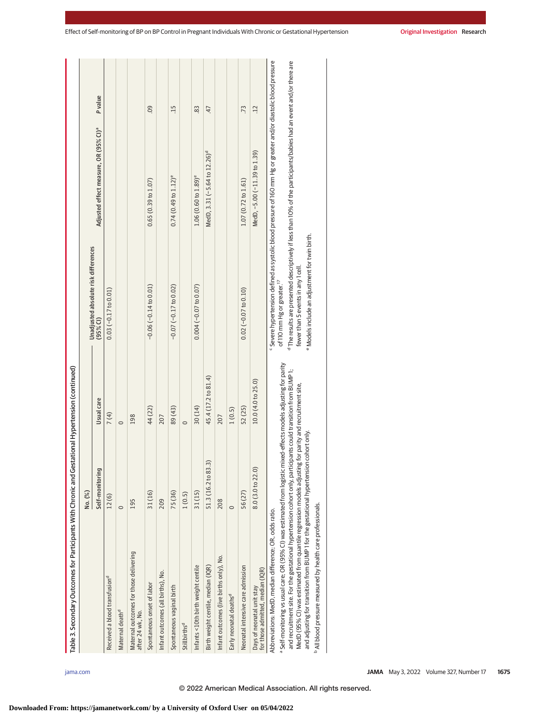| Table 3. Secondary Outcomes for Participants With Chronic and Gestational Hypertension (continued)                                                                                                                                 |                     |                     |                                                  |                                                                                                                                |                |
|------------------------------------------------------------------------------------------------------------------------------------------------------------------------------------------------------------------------------------|---------------------|---------------------|--------------------------------------------------|--------------------------------------------------------------------------------------------------------------------------------|----------------|
|                                                                                                                                                                                                                                    | No. (%)             |                     |                                                  |                                                                                                                                |                |
|                                                                                                                                                                                                                                    | Self-monitoring     | Usual care          | Unadjusted absolute risk differences<br>(95% CI) | Adjusted effect measure, OR (95% CI) <sup>ª</sup>                                                                              | <b>P</b> value |
| Received a blood transfusion <sup>d</sup>                                                                                                                                                                                          | 12(6)               | 7(4)                | $0.03 (-0.17 to 0.01)$                           |                                                                                                                                |                |
| Maternal death <sup>d</sup>                                                                                                                                                                                                        | $\circ$             | $\circ$             |                                                  |                                                                                                                                |                |
| Maternal outcomes for those delivering<br>after 24 wk, No.                                                                                                                                                                         | 195                 | 198                 |                                                  |                                                                                                                                |                |
| Spontaneous onset of labor                                                                                                                                                                                                         | 31 (16)             | 44 (22)             | $-0.06(-0.14 to 0.01)$                           | 0.65(0.39 to 1.07)                                                                                                             | 0.0            |
| Infant outcomes (all births), No.                                                                                                                                                                                                  | 209                 | 207                 |                                                  |                                                                                                                                |                |
| Spontaneous vaginal birth                                                                                                                                                                                                          | 75 (36)             | 89 (43)             | $-0.07$ ( $-0.17$ to 0.02)                       | $0.74(0.49$ to $1.12)$ <sup>e</sup>                                                                                            | $-15$          |
| Stillbirths <sup>d</sup>                                                                                                                                                                                                           | 1(0.5)              | $\circ$             |                                                  |                                                                                                                                |                |
| Infants <10th birth weight centile                                                                                                                                                                                                 | 31(15)              | 30 (14)             | $0.004(-0.07$ to $0.07)$                         | $1.06(0.60 to 1.89)$ <sup>e</sup>                                                                                              | 83             |
| Birth weight centile, median (IQR)                                                                                                                                                                                                 | 51.3 (16.2 to 83.3) | 45.4 (17.2 to 81.4) |                                                  | MedD, 3.31 (-5.64 to 12.26) <sup>d</sup>                                                                                       | 47             |
| Infant outcomes (live births only), No.                                                                                                                                                                                            | 208                 | 207                 |                                                  |                                                                                                                                |                |
| Early neonatal deaths <sup>d</sup>                                                                                                                                                                                                 | $\circ$             | 1(0.5)              |                                                  |                                                                                                                                |                |
| Neonatal intensive care admission                                                                                                                                                                                                  | 56(27)              | 52 (25)             | $0.02$ (-0.07 to 0.10)                           | 1.07 (0.72 to 1.61)                                                                                                            | .73            |
| for those admitted, median (IQR)<br>Days of neonatal unit stav                                                                                                                                                                     | 8.0(3.0 to 22.0)    | 10.0 (4.0 to 25.0)  |                                                  | MedD, -5.00 (-11.39 to 1.39)                                                                                                   | 12             |
| Abbreviations: MedD, median difference; OR, odds ratio.                                                                                                                                                                            |                     |                     |                                                  | Severe hypertension defined as systolic blood pressure of 160 mm Hg or greater and/or diastolic blood pressure                 |                |
| Self-monitoring vs usual care; OR (95% CI) was estimated from logistic mixed-effects models adjusting for parity<br>and recruitment site. For the gestational hypertension cohort only, participants could transition from BUMP 1; |                     |                     | of 110 mm Hg or greater. <sup>17</sup>           | <sup>d</sup> The results are presented descriptively if less than 10% of the participants/babies had an event and/or there are |                |
| MedD (95% CI) was estimated from quantile regression models adjusting for parity and recruitment site,                                                                                                                             |                     |                     | fewer than 5 events in any 1 cell.               |                                                                                                                                |                |
| and adjusting for transition from BUMP 1 for the gestational hypertension cohort only.                                                                                                                                             |                     |                     | e Models include an adjustment for twin birth.   |                                                                                                                                |                |
| <sup>b</sup> All blood pressure measured by health care professionals.                                                                                                                                                             |                     |                     |                                                  |                                                                                                                                |                |

**Downloaded From: https://jamanetwork.com/ by a University of Oxford User on 05/04/2022**

© 2022 American Medical Association. All rights reserved.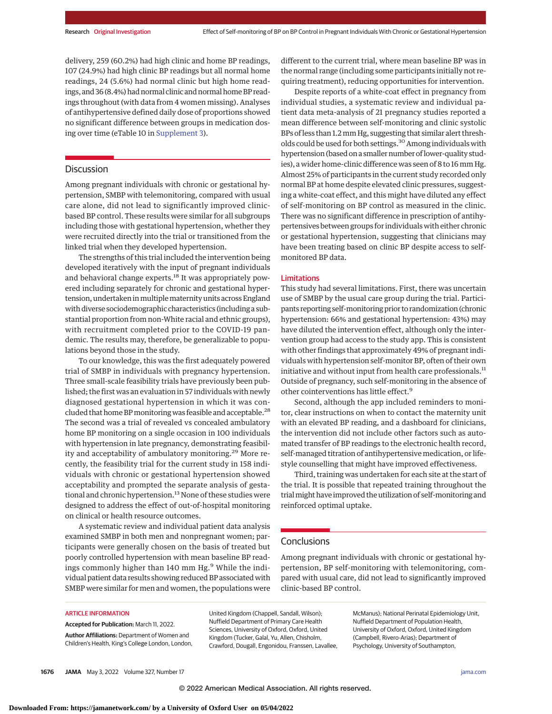delivery, 259 (60.2%) had high clinic and home BP readings, 107 (24.9%) had high clinic BP readings but all normal home readings, 24 (5.6%) had normal clinic but high home readings, and 36 (8.4%) had normal clinic and normal home BP readings throughout (with data from 4 women missing). Analyses of antihypertensive defined daily dose of proportions showed no significant difference between groups in medication dosing over time (eTable 10 in [Supplement 3\)](https://jamanetwork.com/journals/jama/fullarticle/10.1001/jama.2022.4726?utm_campaign=articlePDF%26utm_medium=articlePDFlink%26utm_source=articlePDF%26utm_content=jama.2022.4726).

# **Discussion**

Among pregnant individuals with chronic or gestational hypertension, SMBP with telemonitoring, compared with usual care alone, did not lead to significantly improved clinicbased BP control. These results were similar for all subgroups including those with gestational hypertension, whether they were recruited directly into the trial or transitioned from the linked trial when they developed hypertension.

The strengths of this trial included the intervention being developed iteratively with the input of pregnant individuals and behavioral change experts.<sup>18</sup> It was appropriately powered including separately for chronic and gestational hypertension, undertaken in multiple maternity units across England with diverse sociodemographic characteristics (including a substantial proportion from non-White racial and ethnic groups), with recruitment completed prior to the COVID-19 pandemic. The results may, therefore, be generalizable to populations beyond those in the study.

To our knowledge, this was the first adequately powered trial of SMBP in individuals with pregnancy hypertension. Three small-scale feasibility trials have previously been published; the first was an evaluation in 57 individuals with newly diagnosed gestational hypertension in which it was concluded that home BP monitoring was feasible and acceptable.<sup>28</sup> The second was a trial of revealed vs concealed ambulatory home BP monitoring on a single occasion in 100 individuals with hypertension in late pregnancy, demonstrating feasibility and acceptability of ambulatory monitoring.<sup>29</sup> More recently, the feasibility trial for the current study in 158 individuals with chronic or gestational hypertension showed acceptability and prompted the separate analysis of gestational and chronic hypertension.<sup>13</sup> None of these studies were designed to address the effect of out-of-hospital monitoring on clinical or health resource outcomes.

A systematic review and individual patient data analysis examined SMBP in both men and nonpregnant women; participants were generally chosen on the basis of treated but poorly controlled hypertension with mean baseline BP readings commonly higher than  $140$  mm Hg.<sup>9</sup> While the individual patient data results showing reduced BP associated with SMBP were similar for men and women, the populations were different to the current trial, where mean baseline BP was in the normal range (including some participants initially not requiring treatment), reducing opportunities for intervention.

Despite reports of a white-coat effect in pregnancy from individual studies, a systematic review and individual patient data meta-analysis of 21 pregnancy studies reported a mean difference between self-monitoring and clinic systolic BPs of less than 1.2mm Hg, suggesting that similar alert thresholds could be used for both settings.<sup>30</sup> Among individuals with hypertension (based on a smaller number of lower-quality studies), a wider home-clinic difference was seen of 8 to 16 mm Hg. Almost 25% of participants in the current study recorded only normal BP at home despite elevated clinic pressures, suggesting a white-coat effect, and this might have diluted any effect of self-monitoring on BP control as measured in the clinic. There was no significant difference in prescription of antihypertensives between groups for individuals with either chronic or gestational hypertension, suggesting that clinicians may have been treating based on clinic BP despite access to selfmonitored BP data.

# Limitations

This study had several limitations. First, there was uncertain use of SMBP by the usual care group during the trial. Participants reporting self-monitoring prior to randomization (chronic hypertension: 66% and gestational hypertension: 43%) may have diluted the intervention effect, although only the intervention group had access to the study app. This is consistent with other findings that approximately 49% of pregnant individuals with hypertension self-monitor BP, often of their own initiative and without input from health care professionals.<sup>11</sup> Outside of pregnancy, such self-monitoring in the absence of other cointerventions has little effect.<sup>9</sup>

Second, although the app included reminders to monitor, clear instructions on when to contact the maternity unit with an elevated BP reading, and a dashboard for clinicians, the intervention did not include other factors such as automated transfer of BP readings to the electronic health record, self-managed titration of antihypertensive medication, or lifestyle counselling that might have improved effectiveness.

Third, training was undertaken for each site at the start of the trial. It is possible that repeated training throughout the trialmight have improved the utilization of self-monitoring and reinforced optimal uptake.

# **Conclusions**

Among pregnant individuals with chronic or gestational hypertension, BP self-monitoring with telemonitoring, compared with usual care, did not lead to significantly improved clinic-based BP control.

#### ARTICLE INFORMATION

**Accepted for Publication:** March 11, 2022. **Author Affiliations:** Department of Women and Children's Health, King's College London, London, United Kingdom (Chappell, Sandall, Wilson); Nuffield Department of Primary Care Health Sciences, University of Oxford, Oxford, United Kingdom (Tucker, Galal, Yu, Allen, Chisholm, Crawford, Dougall, Engonidou, Franssen, Lavallee,

McManus); National Perinatal Epidemiology Unit, Nuffield Department of Population Health, University of Oxford, Oxford, United Kingdom (Campbell, Rivero-Arias); Department of Psychology, University of Southampton,

**1676 JAMA** May 3, 2022 Volume 327, Number 17 **(Reprinted)** [jama.com](http://www.jama.com?utm_campaign=articlePDF%26utm_medium=articlePDFlink%26utm_source=articlePDF%26utm_content=jama.2022.4726)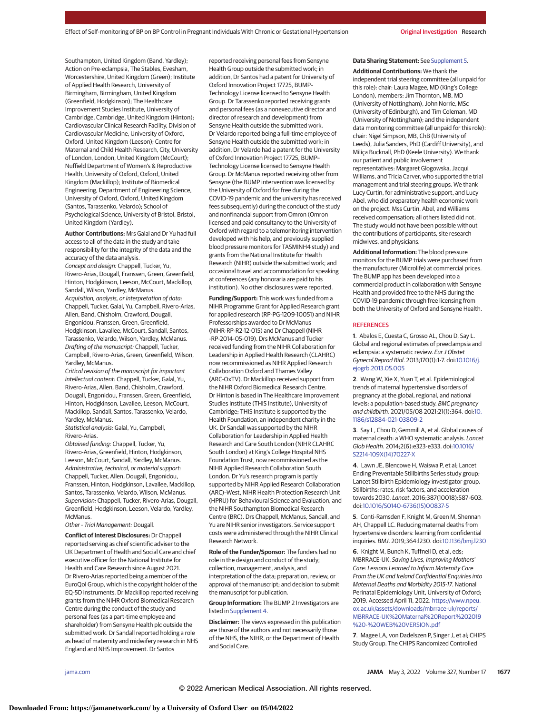Southampton, United Kingdom (Band, Yardley); Action on Pre-eclampsia, The Stables, Evesham, Worcestershire, United Kingdom (Green); Institute of Applied Health Research, University of Birmingham, Birmingham, United Kingdom (Greenfield, Hodgkinson); The Healthcare Improvement Studies Institute, University of Cambridge, Cambridge, United Kingdom (Hinton); Cardiovascular Clinical Research Facility, Division of Cardiovascular Medicine, University of Oxford, Oxford, United Kingdom (Leeson); Centre for Maternal and Child Health Research, City, University of London, London, United Kingdom (McCourt); Nuffield Department of Women's & Reproductive Health, University of Oxford, Oxford, United Kingdom (Mackillop); Institute of Biomedical Engineering, Department of Engineering Science, University of Oxford, Oxford, United Kingdom (Santos, Tarassenko, Velardo); School of Psychological Science, University of Bristol, Bristol, United Kingdom (Yardley).

**Author Contributions:** Mrs Galal and Dr Yu had full access to all of the data in the study and take responsibility for the integrity of the data and the accuracy of the data analysis.

Concept and design: Chappell, Tucker, Yu, Rivero-Arias, Dougall, Franssen, Green, Greenfield, Hinton, Hodgkinson, Leeson, McCourt, Mackillop, Sandall, Wilson, Yardley, McManus.

Acquisition, analysis, or interpretation of data: Chappell, Tucker, Galal, Yu, Campbell, Rivero-Arias, Allen, Band, Chisholm, Crawford, Dougall, Engonidou, Franssen, Green, Greenfield, Hodgkinson, Lavallee, McCourt, Sandall, Santos, Tarassenko, Velardo, Wilson, Yardley, McManus. Drafting of the manuscript: Chappell, Tucker, Campbell, Rivero-Arias, Green, Greenfield, Wilson, Yardley, McManus.

Critical revision of the manuscript for important intellectual content: Chappell, Tucker, Galal, Yu, Rivero-Arias, Allen, Band, Chisholm, Crawford, Dougall, Engonidou, Franssen, Green, Greenfield, Hinton, Hodgkinson, Lavallee, Leeson, McCourt, Mackillop, Sandall, Santos, Tarassenko, Velardo, Yardley, McManus.

Statistical analysis: Galal, Yu, Campbell, Rivero-Arias.

Obtained funding: Chappell, Tucker, Yu, Rivero-Arias, Greenfield, Hinton, Hodgkinson, Leeson, McCourt, Sandall, Yardley, McManus. Administrative, technical, or material support: Chappell, Tucker, Allen, Dougall, Engonidou, Franssen, Hinton, Hodgkinson, Lavallee, Mackillop, Santos, Tarassenko, Velardo, Wilson, McManus. Supervision: Chappell, Tucker, Rivero-Arias, Dougall, Greenfield, Hodgkinson, Leeson, Velardo, Yardley, McManus.

Other - Trial Management: Dougall.

**Conflict of Interest Disclosures:** Dr Chappell reported serving as chief scientific adviser to the UK Department of Health and Social Care and chief executive officer for the National Institute for Health and Care Research since August 2021. Dr Rivero-Arias reported being a member of the EuroQol Group, which is the copyright holder of the EQ-5D instruments. Dr Mackillop reported receiving grants from the NIHR Oxford Biomedical Research Centre during the conduct of the study and personal fees (as a part-time employee and shareholder) from Sensyne Health plc outside the submitted work. Dr Sandall reported holding a role as head of maternity and midwifery research in NHS England and NHS Improvement. Dr Santos

reported receiving personal fees from Sensyne Health Group outside the submitted work; in addition, Dr Santos had a patent for University of Oxford Innovation Project 17725, BUMP– Technology License licensed to Sensyne Health Group. Dr Tarassenko reported receiving grants and personal fees (as a nonexecutive director and director of research and development) from Sensyne Health outside the submitted work. Dr Velardo reported being a full-time employee of Sensyne Health outside the submitted work; in addition, Dr Velardo had a patent for the University of Oxford Innovation Project 17725, BUMP– Technology License licensed to Sensyne Health Group. Dr McManus reported receiving other from Sensyne (the BUMP intervention was licensed by the University of Oxford for free during the COVID-19 pandemic and the university has received fees subsequently) during the conduct of the study and nonfinancial support from Omron (Omron licensed and paid consultancy to the University of Oxford with regard to a telemonitoring intervention developed with his help, and previously supplied blood pressure monitors for TASMINH4 study) and grants from the National Institute for Health Research (NIHR) outside the submitted work; and occasional travel and accommodation for speaking at conferences (any honoraria are paid to his institution). No other disclosures were reported.

**Funding/Support:** This work was funded from a NIHR Programme Grant for Applied Research grant for applied research (RP-PG-1209-10051) and NIHR Professorships awarded to Dr McManus (NIHR-RP-R2-12-015) and Dr Chappell (NIHR -RP-2014-05-019). Drs McManus and Tucker received funding from the NIHR Collaboration for Leadership in Applied Health Research (CLAHRC) now recommissioned as NIHR Applied Research Collaboration Oxford and Thames Valley (ARC-OxTV). Dr Mackillop received support from the NIHR Oxford Biomedical Research Centre. Dr Hinton is based in The Healthcare Improvement Studies Institute (THIS Institute), University of Cambridge; THIS Institute is supported by the Health Foundation, an independent charity in the UK. Dr Sandall was supported by the NIHR Collaboration for Leadership in Applied Health Research and Care South London (NIHR CLAHRC South London) at King's College Hospital NHS Foundation Trust, now recommissioned as the NIHR Applied Research Collaboration South London. Dr Yu's research program is partly supported by NIHR Applied Research Collaboration (ARC)–West, NIHR Health Protection Research Unit (HPRU) for Behavioural Science and Evaluation, and the NIHR Southampton Biomedical Research Centre (BRC). Drs Chappell, McManus, Sandall, and Yu are NIHR senior investigators. Service support costs were administered through the NIHR Clinical Research Network.

**Role of the Funder/Sponsor:** The funders had no role in the design and conduct of the study; collection, management, analysis, and interpretation of the data; preparation, review, or approval of the manuscript; and decision to submit the manuscript for publication.

**Group Information:** The BUMP 2 Investigators are listed in [Supplement 4.](https://jamanetwork.com/journals/jama/fullarticle/10.1001/jama.2022.4726?utm_campaign=articlePDF%26utm_medium=articlePDFlink%26utm_source=articlePDF%26utm_content=jama.2022.4726)

**Disclaimer:** The views expressed in this publication are those of the authors and not necessarily those of the NHS, the NIHR, or the Department of Health and Social Care.

#### **Data Sharing Statement:** See [Supplement 5.](https://jamanetwork.com/journals/jama/fullarticle/10.1001/jama.2022.4726?utm_campaign=articlePDF%26utm_medium=articlePDFlink%26utm_source=articlePDF%26utm_content=jama.2022.4726)

**Additional Contributions:** We thank the independent trial steering committee (all unpaid for this role): chair: Laura Magee, MD (King's College London), members: Jim Thornton, MB, MD (University of Nottingham), John Norrie, MSc (University of Edinburgh), and Tim Coleman, MD (University of Nottingham); and the independent data monitoring committee (all unpaid for this role): chair: Nigel Simpson, MB, ChB (University of Leeds), Julia Sanders, PhD (Cardiff University), and Miliça Bucknall, PhD (Keele University). We thank our patient and public involvement representatives: Margaret Glogowska, Jacqui Williams, and Tricia Carver, who supported the trial management and trial steering groups. We thank Lucy Curtin, for administrative support, and Lucy Abel, who did preparatory health economic work on the project. Mss Curtin, Abel, and Williams received compensation; all others listed did not. The study would not have been possible without the contributions of participants, site research midwives, and physicians.

**Additional Information:** The blood pressure monitors for the BUMP trials were purchased from the manufacturer (Microlife) at commercial prices. The BUMP app has been developed into a commercial product in collaboration with Sensyne Health and provided free to the NHS during the COVID-19 pandemic through free licensing from both the University of Oxford and Sensyne Health.

#### **REFERENCES**

**1**. Abalos E, Cuesta C, Grosso AL, Chou D, Say L. Global and regional estimates of preeclampsia and eclampsia: a systematic review. Eur J Obstet Gynecol Reprod Biol. 2013;170(1):1-7. doi[:10.1016/j.](https://dx.doi.org/10.1016/j.ejogrb.2013.05.005) [ejogrb.2013.05.005](https://dx.doi.org/10.1016/j.ejogrb.2013.05.005)

**2**. Wang W, Xie X, Yuan T, et al. Epidemiological trends of maternal hypertensive disorders of pregnancy at the global, regional, and national levels: a population-based study. BMC pregnancy and childbirth. 2021/05/08 2021;21(1):364. doi[:10.](https://dx.doi.org/10.1186/s12884-021-03809-2) [1186/s12884-021-03809-2](https://dx.doi.org/10.1186/s12884-021-03809-2)

**3**. Say L, Chou D, Gemmill A, et al. Global causes of maternal death: a WHO systematic analysis. Lancet Glob Health. 2014;2(6):e323-e333. doi[:10.1016/](https://dx.doi.org/10.1016/S2214-109X(14)70227-X) [S2214-109X\(14\)70227-X](https://dx.doi.org/10.1016/S2214-109X(14)70227-X)

**4**. Lawn JE, Blencowe H, Waiswa P, et al; Lancet Ending Preventable Stillbirths Series study group; Lancet Stillbirth Epidemiology investigator group. Stillbirths: rates, risk factors, and acceleration towards 2030. Lancet. 2016;387(10018):587-603. doi[:10.1016/S0140-6736\(15\)00837-5](https://dx.doi.org/10.1016/S0140-6736(15)00837-5)

**5**. Conti-Ramsden F, Knight M, Green M, Shennan AH, Chappell LC. Reducing maternal deaths from hypertensive disorders: learning from confidential inquiries. BMJ. 2019;364:l230. doi[:10.1136/bmj.l230](https://dx.doi.org/10.1136/bmj.l230)

**6**. Knight M, Bunch K, Tuffnell D, et al, eds; MBRRACE-UK. Saving Lives, Improving Mothers' Care: Lessons Learned to Inform Maternity Care From the UK and Ireland Confidential Enquiries into Maternal Deaths and Morbidity 2015-17. National Perinatal Epidemiology Unit, University of Oxford; 2019. Accessed April 11, 2022. [https://www.npeu.](https://www.npeu.ox.ac.uk/assets/downloads/mbrrace-uk/reports/MBRRACE-UK%20Maternal%20Report%202019%20-%20WEB%20VERSION.pdf) [ox.ac.uk/assets/downloads/mbrrace-uk/reports/](https://www.npeu.ox.ac.uk/assets/downloads/mbrrace-uk/reports/MBRRACE-UK%20Maternal%20Report%202019%20-%20WEB%20VERSION.pdf) [MBRRACE-UK%20Maternal%20Report%202019](https://www.npeu.ox.ac.uk/assets/downloads/mbrrace-uk/reports/MBRRACE-UK%20Maternal%20Report%202019%20-%20WEB%20VERSION.pdf) [%20-%20WEB%20VERSION.pdf](https://www.npeu.ox.ac.uk/assets/downloads/mbrrace-uk/reports/MBRRACE-UK%20Maternal%20Report%202019%20-%20WEB%20VERSION.pdf)

**7**. Magee LA, von Dadelszen P, Singer J, et al; CHIPS Study Group. The CHIPS Randomized Controlled